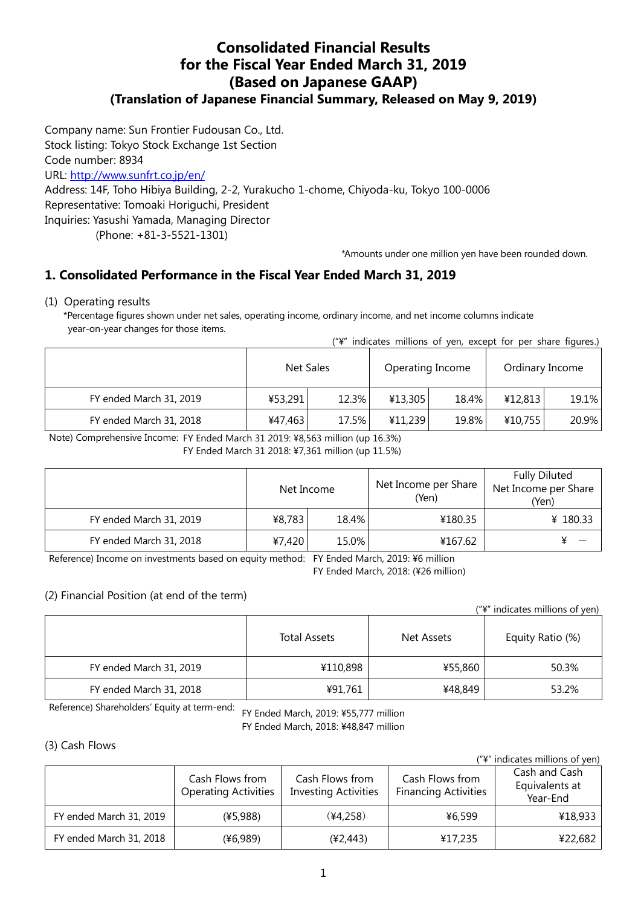# **Consolidated Financial Results for the Fiscal Year Ended March 31, 2019 (Based on Japanese GAAP) (Translation of Japanese Financial Summary, Released on May 9, 2019)**

Company name: Sun Frontier Fudousan Co., Ltd. Stock listing: Tokyo Stock Exchange 1st Section Code number: 8934 URL:<http://www.sunfrt.co.jp/en/> Address: 14F, Toho Hibiya Building, 2-2, Yurakucho 1-chome, Chiyoda-ku, Tokyo 100-0006 Representative: Tomoaki Horiguchi, President Inquiries: Yasushi Yamada, Managing Director

(Phone: +81-3-5521-1301)

\*Amounts under one million yen have been rounded down.

# **1. Consolidated Performance in the Fiscal Year Ended March 31, 2019**

#### (1) Operating results

\*Percentage figures shown under net sales, operating income, ordinary income, and net income columns indicate year-on-year changes for those items.

| ("¥" indicates millions of yen, except for per share figures.) |  |  |  |  |  |
|----------------------------------------------------------------|--|--|--|--|--|
|                                                                |  |  |  |  |  |

|                         | Net Sales |       | Operating Income |       | Ordinary Income |       |
|-------------------------|-----------|-------|------------------|-------|-----------------|-------|
| FY ended March 31, 2019 | ¥53,291   | 12.3% | ¥13,305          | 18.4% | 412,813         | 19.1% |
| FY ended March 31, 2018 | ¥47,463   | 17.5% | ¥11,239          | 19.8% | ¥10,755         | 20.9% |

Note) Comprehensive Income: FY Ended March 31 2019: ¥8,563 million (up 16.3%)

FY Ended March 31 2018: ¥7,361 million (up 11.5%)

|                         | Net Income |       | Net Income per Share<br>(Yen) | <b>Fully Diluted</b><br>Net Income per Share<br>(Yen) |  |
|-------------------------|------------|-------|-------------------------------|-------------------------------------------------------|--|
| FY ended March 31, 2019 | ¥8,783     | 18.4% | ¥180.35                       | ¥ 180.33                                              |  |
| FY ended March 31, 2018 | ¥7,420     | 15.0% | ¥167.62                       |                                                       |  |

Reference) Income on investments based on equity method: FY Ended March, 2019: ¥6 million

FY Ended March, 2018: (¥26 million)

#### (2) Financial Position (at end of the term)

| ("\" indicates millions of yen) |
|---------------------------------|
|---------------------------------|

|                         | <b>Total Assets</b> | Net Assets | Equity Ratio (%) |  |
|-------------------------|---------------------|------------|------------------|--|
| FY ended March 31, 2019 | ¥110,898            | ¥55,860    | 50.3%            |  |
| FY ended March 31, 2018 | ¥91,761             | ¥48,849    | 53.2%            |  |

FY Ended March, 2019: ¥55,777 million Reference) Shareholders' Equity at term-end:

FY Ended March, 2018: ¥48,847 million

#### (3) Cash Flows

("¥" indicates millions of yen)

|                         | Cash Flows from<br><b>Operating Activities</b> | Cash Flows from<br><b>Financing Activities</b><br><b>Investing Activities</b> |         | Cash and Cash<br>Equivalents at<br>Year-End |  |
|-------------------------|------------------------------------------------|-------------------------------------------------------------------------------|---------|---------------------------------------------|--|
| FY ended March 31, 2019 | (45,988)                                       | (44,258)                                                                      | ¥6,599  | ¥18,933                                     |  |
| FY ended March 31, 2018 | (¥6,989)                                       | (¥2,443)                                                                      | ¥17,235 | ¥22,682                                     |  |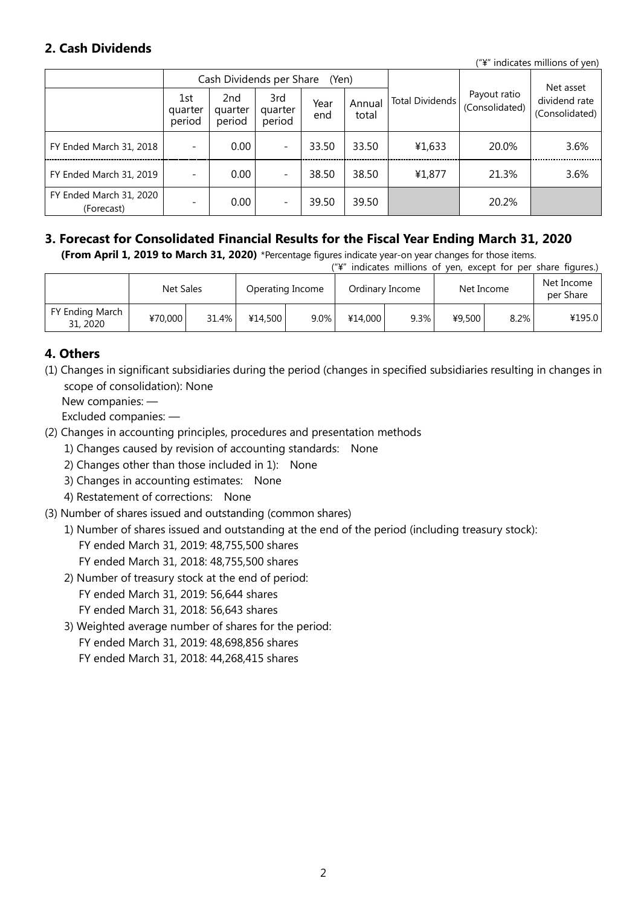# **2. Cash Dividends**

("¥" indicates millions of yen)

|                                       |                          | Cash Dividends per Share |                          | (Yen)       |                 |                        | Net asset                      |                                 |
|---------------------------------------|--------------------------|--------------------------|--------------------------|-------------|-----------------|------------------------|--------------------------------|---------------------------------|
|                                       | 1st<br>quarter<br>period | 2nd<br>quarter<br>period | 3rd<br>quarter<br>period | Year<br>end | Annual<br>total | <b>Total Dividends</b> | Payout ratio<br>(Consolidated) | dividend rate<br>(Consolidated) |
| FY Ended March 31, 2018               |                          | 0.00                     | $\overline{\phantom{a}}$ | 33.50       | 33.50           | ¥1,633                 | 20.0%                          | 3.6%                            |
| FY Ended March 31, 2019               |                          | 0.00                     | $\overline{\phantom{a}}$ | 38.50       | 38.50           | ¥1,877                 | 21.3%                          | 3.6%                            |
| FY Ended March 31, 2020<br>(Forecast) |                          | 0.00                     | $\overline{\phantom{a}}$ | 39.50       | 39.50           |                        | 20.2%                          |                                 |

#### **3. Forecast for Consolidated Financial Results for the Fiscal Year Ending March 31, 2020 (From April 1, 2019 to March 31, 2020)** \*Percentage figures indicate year-on year changes for those items.

("¥" indicates millions of yen, except for per share figures.)

|                             | Net Sales |       |         | Operating Income |         | Ordinary Income | Net Income |      | Net Income<br>per Share |
|-----------------------------|-----------|-------|---------|------------------|---------|-----------------|------------|------|-------------------------|
| FY Ending March<br>31, 2020 | ¥70,000   | 31.4% | ¥14.500 | $9.0\%$          | ¥14,000 | $9.3\%$         | ¥9,500     | 8.2% | ¥195.0                  |

## **4. Others**

(1) Changes in significant subsidiaries during the period (changes in specified subsidiaries resulting in changes in scope of consolidation): None

New companies: —

Excluded companies: —

- (2) Changes in accounting principles, procedures and presentation methods
	- 1) Changes caused by revision of accounting standards: None
	- 2) Changes other than those included in 1): None
	- 3) Changes in accounting estimates: None
	- 4) Restatement of corrections: None
- (3) Number of shares issued and outstanding (common shares)
	- 1) Number of shares issued and outstanding at the end of the period (including treasury stock):

FY ended March 31, 2019: 48,755,500 shares

- FY ended March 31, 2018: 48,755,500 shares
- 2) Number of treasury stock at the end of period: FY ended March 31, 2019: 56,644 shares FY ended March 31, 2018: 56,643 shares
- 3) Weighted average number of shares for the period:

FY ended March 31, 2019: 48,698,856 shares

FY ended March 31, 2018: 44,268,415 shares